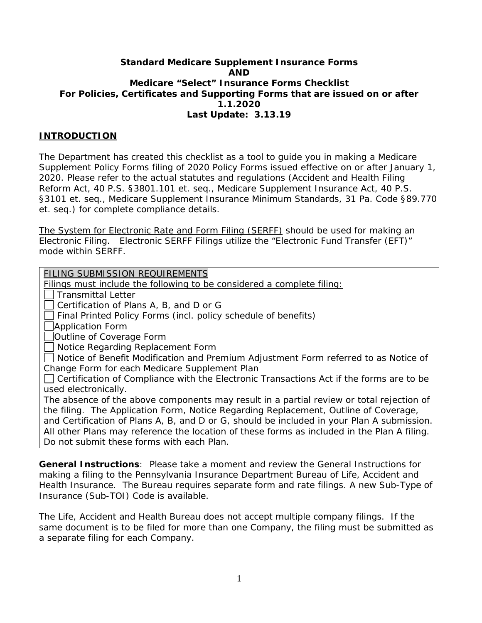#### **Standard Medicare Supplement Insurance Forms AND Medicare "Select" Insurance Forms Checklist For Policies, Certificates and Supporting Forms that are issued on or after 1.1.2020 Last Update: 3.13.19**

## **INTRODUCTION**

The Department has created this checklist as a tool to guide you in making a Medicare Supplement Policy Forms filing of 2020 Policy Forms issued effective on or after January 1, 2020. Please refer to the actual statutes and regulations (Accident and Health Filing Reform Act, 40 P.S. §3801.101 et. seq., Medicare Supplement Insurance Act, 40 P.S. §3101 et. seq., Medicare Supplement Insurance Minimum Standards, 31 Pa. Code §89.770 et. seq.) for complete compliance details.

The System for Electronic Rate and Form Filing (SERFF) should be used for making an Electronic Filing. Electronic SERFF Filings utilize the "Electronic Fund Transfer (EFT)" mode within SERFF.

*FILING SUBMISSION REQUIREMENTS*

Filings must include the following to be considered a complete filing:

Transmittal Letter

Certification of Plans A, B, and D or G

Final Printed Policy Forms (incl. policy schedule of benefits)

Application Form

Outline of Coverage Form

Notice Regarding Replacement Form

Notice of Benefit Modification and Premium Adjustment Form referred to as Notice of Change Form *for each Medicare Supplement Plan*

 $\Box$  Certification of Compliance with the Electronic Transactions Act if the forms are to be used electronically.

The absence of the above components may result in a partial review or total rejection of *the filing.* The Application Form, Notice Regarding Replacement, Outline of Coverage, and Certification of Plans A, B, and D or G, should be included in your Plan A submission*. All other Plans may reference the location of these forms as included in the Plan A filing. Do not submit these forms with each Plan.* 

**General Instructions**: Please take a moment and review the General Instructions for making a filing to the Pennsylvania Insurance Department Bureau of Life, Accident and Health Insurance. The Bureau requires separate form and rate filings. A new Sub-Type of Insurance (Sub-TOI) Code is available.

The Life, Accident and Health Bureau does not accept multiple company filings. If the same document is to be filed for more than one Company, the filing must be submitted as a separate filing for each Company.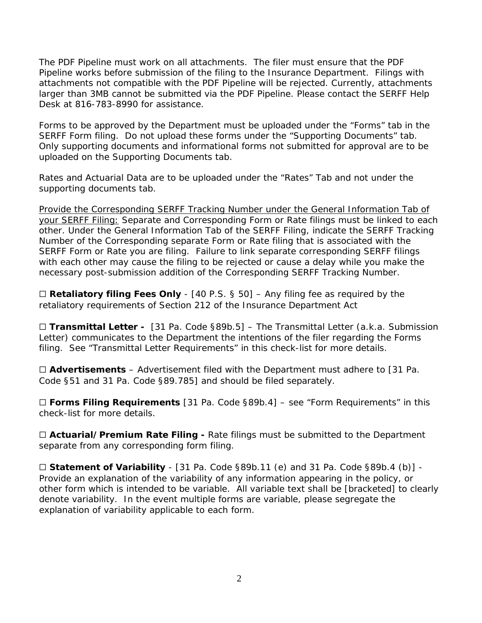The PDF Pipeline must work on all attachments. The filer must ensure that the PDF Pipeline works before submission of the filing to the Insurance Department. Filings with attachments not compatible with the PDF Pipeline will be rejected. Currently, attachments larger than 3MB cannot be submitted via the PDF Pipeline. Please contact the SERFF Help Desk at 816-783-8990 for assistance.

Forms to be approved by the Department must be uploaded under the "Forms" tab in the SERFF Form filing. Do not upload these forms under the "Supporting Documents" tab. Only supporting documents and informational forms not submitted for approval are to be uploaded on the Supporting Documents tab.

Rates and Actuarial Data are to be uploaded under the "Rates" Tab and not under the supporting documents tab.

Provide the Corresponding SERFF Tracking Number under the General Information Tab of your SERFF Filing: Separate and Corresponding Form or Rate filings must be linked to each other. Under the General Information Tab of the SERFF Filing, indicate the SERFF Tracking Number of the Corresponding separate Form or Rate filing that is associated with the SERFF Form or Rate you are filing. Failure to link separate corresponding SERFF filings with each other may cause the filing to be rejected or cause a delay while you make the necessary post-submission addition of the Corresponding SERFF Tracking Number.

☐ **Retaliatory filing Fees Only** - [40 P.S. § 50] – Any filing fee as required by the retaliatory requirements of Section 212 of the Insurance Department Act

☐ **Transmittal Letter -** [31 Pa. Code §89b.5] – The Transmittal Letter (a.k.a. Submission Letter) communicates to the Department the intentions of the filer regarding the Forms filing. See "Transmittal Letter Requirements" in this check-list for more details.

☐ **Advertisements** – Advertisement filed with the Department must adhere to [31 Pa. Code §51 and 31 Pa. Code §89.785] and should be filed separately.

☐ **Forms Filing Requirements** [31 Pa. Code §89b.4] – see "Form Requirements" in this check-list for more details.

□ **Actuarial/Premium Rate Filing -** Rate filings must be submitted to the Department separate from any corresponding form filing.

□ **Statement of Variability** - [31 Pa. Code §89b.11 (e) and 31 Pa. Code §89b.4 (b)] -Provide an explanation of the variability of any information appearing in the policy, or other form which is intended to be variable. All variable text shall be [bracketed] to clearly denote variability. In the event multiple forms are variable, please segregate the explanation of variability applicable to each form.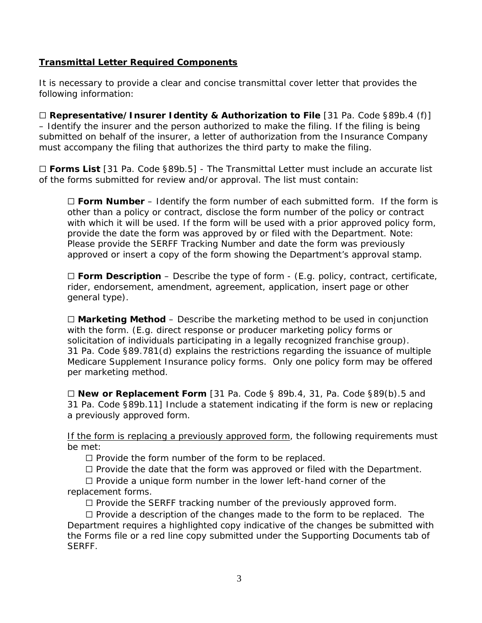#### **Transmittal Letter Required Components**

It is necessary to provide a clear and concise transmittal cover letter that provides the following information:

☐ **Representative/Insurer Identity & Authorization to File** [31 Pa. Code §89b.4 (f)] – Identify the insurer and the person authorized to make the filing. If the filing is being submitted on behalf of the insurer, a letter of authorization from the Insurance Company must accompany the filing that authorizes the third party to make the filing.

☐ **Forms List** [31 Pa. Code §89b.5] - The Transmittal Letter must include an accurate list of the forms submitted for review and/or approval. The list must contain:

☐ **Form Number** – Identify the form number of each submitted form. If the form is other than a policy or contract, disclose the form number of the policy or contract with which it will be used. If the form will be used with a prior approved policy form, provide the date the form was approved by or filed with the Department. Note: Please provide the SERFF Tracking Number and date the form was previously approved or insert a copy of the form showing the Department's approval stamp.

☐ **Form Description** – Describe the type of form - (E.g. policy, contract, certificate, rider, endorsement, amendment, agreement, application, insert page or other general type).

☐ **Marketing Method** – Describe the marketing method to be used in conjunction with the form. (E.g. direct response or producer marketing policy forms or solicitation of individuals participating in a legally recognized franchise group). 31 Pa. Code §89.781(d) explains the restrictions regarding the issuance of multiple Medicare Supplement Insurance policy forms. Only one policy form may be offered per marketing method.

☐ **New or Replacement Form** [31 Pa. Code § 89b.4, 31, Pa. Code §89(b).5 and 31 Pa. Code §89b.11] Include a statement indicating if the form is new or replacing a previously approved form.

If the form is replacing a previously approved form, the following requirements must be met:

☐ Provide the form number of the form to be replaced.

 $\Box$  Provide the date that the form was approved or filed with the Department.

 ☐ Provide a unique form number in the lower left-hand corner of the replacement forms.

☐ Provide the SERFF tracking number of the previously approved form.

 ☐ Provide a description of the changes made to the form to be replaced. The Department requires a highlighted copy indicative of the changes be submitted with the Forms file or a red line copy submitted under the Supporting Documents tab of SERFF.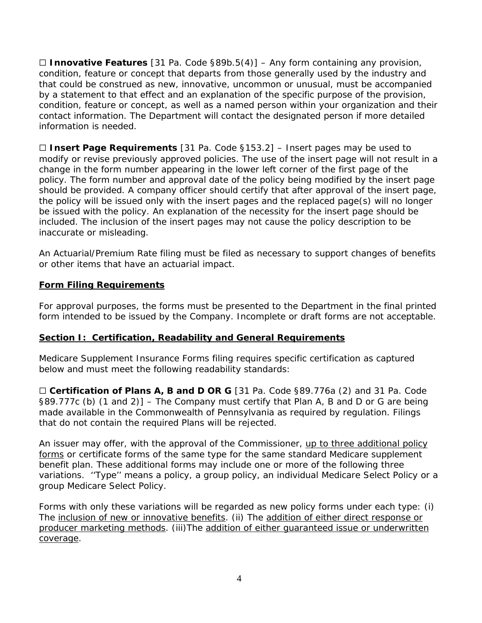☐ **Innovative Features** [31 Pa. Code §89b.5(4)] – Any form containing any provision, condition, feature or concept that departs from those generally used by the industry and that could be construed as new, innovative, uncommon or unusual, must be accompanied by a statement to that effect and an explanation of the specific purpose of the provision, condition, feature or concept, as well as a named person within your organization and their contact information. The Department will contact the designated person if more detailed information is needed.

☐ **Insert Page Requirements** [31 Pa. Code §153.2] – Insert pages may be used to modify or revise previously approved policies. The use of the insert page will not result in a change in the form number appearing in the lower left corner of the first page of the policy. The form number and approval date of the policy being modified by the insert page should be provided. A company officer should certify that after approval of the insert page, the policy will be issued only with the insert pages and the replaced page(s) will no longer be issued with the policy. An explanation of the necessity for the insert page should be included. The inclusion of the insert pages may not cause the policy description to be inaccurate or misleading.

An Actuarial/Premium Rate filing must be filed as necessary to support changes of benefits or other items that have an actuarial impact.

# **Form Filing Requirements**

For approval purposes, the forms must be presented to the Department in the final printed form intended to be issued by the Company. Incomplete or draft forms are not acceptable.

#### **Section I: Certification, Readability and General Requirements**

Medicare Supplement Insurance Forms filing requires specific certification as captured below and must meet the following readability standards:

☐ **Certification of Plans A, B and D OR G** [31 Pa. Code §89.776a (2) and 31 Pa. Code §89.777c (b) (1 and 2)] – The Company must certify that Plan A, B and D or G are being made available in the Commonwealth of Pennsylvania as required by regulation. Filings that do not contain the required Plans will be rejected.

An issuer may offer, with the approval of the Commissioner, up to three additional policy forms or certificate forms of the same type for the same standard Medicare supplement benefit plan. These additional forms may include one or more of the following three variations. ''Type'' means a policy, a group policy, an individual Medicare Select Policy or a group Medicare Select Policy.

Forms with only these variations will be regarded as new policy forms under each type: (i) The inclusion of new or innovative benefits. (ii) The addition of either direct response or producer marketing methods. (iii)The addition of either quaranteed issue or underwritten coverage.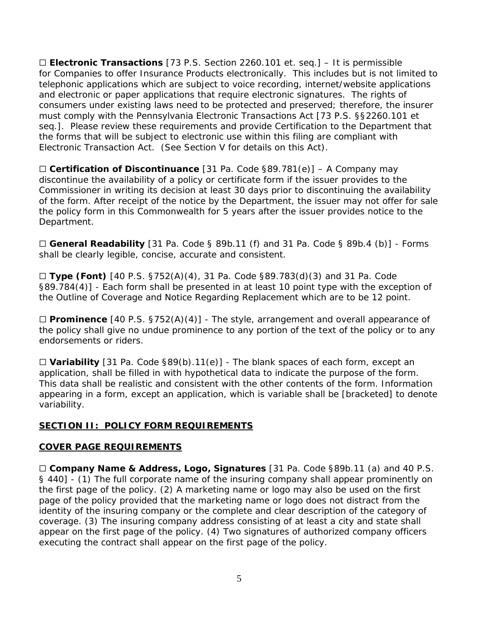☐ **Electronic Transactions** [73 P.S. Section 2260.101 et. seq.] – It is permissible for Companies to offer Insurance Products electronically. This includes but is not limited to telephonic applications which are subject to voice recording, internet/website applications and electronic or paper applications that require electronic signatures. The rights of consumers under existing laws need to be protected and preserved; therefore, the insurer must comply with the Pennsylvania Electronic Transactions Act [73 P.S. §§2260.101 et seq.]. Please review these requirements and provide Certification to the Department that the forms that will be subject to electronic use within this filing are compliant with Electronic Transaction Act. (See Section V for details on this Act).

☐ **Certification of Discontinuance** [31 Pa. Code §89.781(e)] – A Company may discontinue the availability of a policy or certificate form if the issuer provides to the Commissioner in writing its decision at least 30 days prior to discontinuing the availability of the form. After receipt of the notice by the Department, the issuer may not offer for sale the policy form in this Commonwealth for 5 years after the issuer provides notice to the Department.

☐ **General Readability** [31 Pa. Code § 89b.11 (f) and 31 Pa. Code § 89b.4 (b)] - Forms shall be clearly legible, concise, accurate and consistent.

☐ **Type (Font)** [40 P.S. §752(A)(4), 31 Pa. Code §89.783(d)(3) and 31 Pa. Code §89.784(4)] - Each form shall be presented in at least 10 point type with the exception of the Outline of Coverage and Notice Regarding Replacement which are to be 12 point.

☐ **Prominence** [40 P.S. §752(A)(4)] - The style, arrangement and overall appearance of the policy shall give no undue prominence to any portion of the text of the policy or to any endorsements or riders.

☐ **Variability** [31 Pa. Code §89(b).11(e)] - The blank spaces of each form, except an application, shall be filled in with hypothetical data to indicate the purpose of the form. This data shall be realistic and consistent with the other contents of the form. Information appearing in a form, except an application, which is variable shall be [bracketed] to denote variability.

#### **SECTION II: POLICY FORM REQUIREMENTS**

#### **COVER PAGE REQUIREMENTS**

☐ **Company Name & Address, Logo, Signatures** [31 Pa. Code §89b.11 (a) and 40 P.S. § 440] - (1) The full corporate name of the insuring company shall appear prominently on the first page of the policy. (2) A marketing name or logo may also be used on the first page of the policy provided that the marketing name or logo does not distract from the identity of the insuring company or the complete and clear description of the category of coverage. (3) The insuring company address consisting of at least a city and state shall appear on the first page of the policy. (4) Two signatures of authorized company officers executing the contract shall appear on the first page of the policy.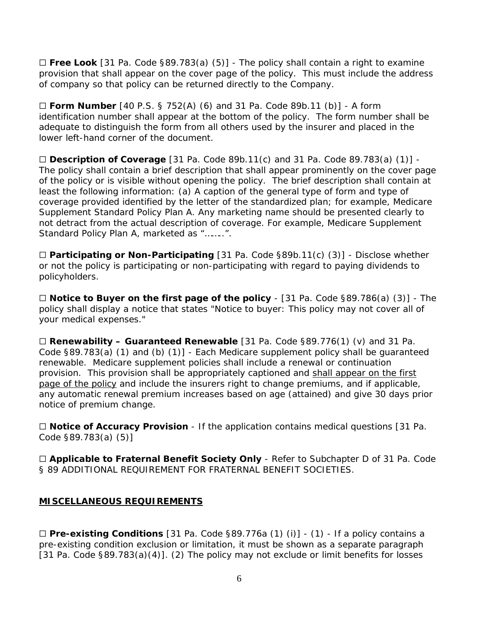☐ **Free Look** [31 Pa. Code §89.783(a) (5)] - The policy shall contain a right to examine provision that shall appear on the cover page of the policy. This must include the address of company so that policy can be returned directly to the Company.

☐ **Form Number** [40 P.S. § 752(A) (6) and 31 Pa. Code 89b.11 (b)] - A form identification number shall appear at the bottom of the policy. The form number shall be adequate to distinguish the form from all others used by the insurer and placed in the lower left-hand corner of the document.

☐ **Description of Coverage** [31 Pa. Code 89b.11(c) and 31 Pa. Code 89.783(a) (1)] - The policy shall contain a brief description that shall appear prominently on the cover page of the policy or is visible without opening the policy. The brief description shall contain at least the following information: (a) A caption of the general type of form and type of coverage provided identified by the letter of the standardized plan; for example, Medicare Supplement Standard Policy Plan A. Any marketing name should be presented clearly to not detract from the actual description of coverage. For example, Medicare Supplement Standard Policy Plan A, marketed as "……..".

☐ **Participating or Non-Participating** [31 Pa. Code §89b.11(c) (3)] - Disclose whether or not the policy is participating or non-participating with regard to paying dividends to policyholders.

☐ **Notice to Buyer on the first page of the policy** - [31 Pa. Code §89.786(a) (3)] - The policy shall display a notice that states "Notice to buyer: This policy may not cover all of your medical expenses."

☐ **Renewability – Guaranteed Renewable** [31 Pa. Code §89.776(1) (v) and 31 Pa. Code §89.783(a) (1) and (b) (1)] - Each Medicare supplement policy shall be guaranteed renewable. Medicare supplement policies shall include a renewal or continuation provision. This provision shall be appropriately captioned and shall appear on the first page of the policy and include the insurers right to change premiums, and if applicable, any automatic renewal premium increases based on age (attained) and give 30 days prior notice of premium change.

☐ **Notice of Accuracy Provision** - If the application contains medical questions [31 Pa. Code §89.783(a) (5)]

☐ **Applicable to Fraternal Benefit Society Only** - Refer to Subchapter D of 31 Pa. Code § 89 ADDITIONAL REQUIREMENT FOR FRATERNAL BENEFIT SOCIETIES.

#### **MISCELLANEOUS REQUIREMENTS**

☐ **Pre-existing Conditions** [31 Pa. Code §89.776a (1) (i)] - (1) - If a policy contains a pre-existing condition exclusion or limitation, it must be shown as a separate paragraph [31 Pa. Code §89.783(a)(4)]. (2) The policy may not exclude or limit benefits for losses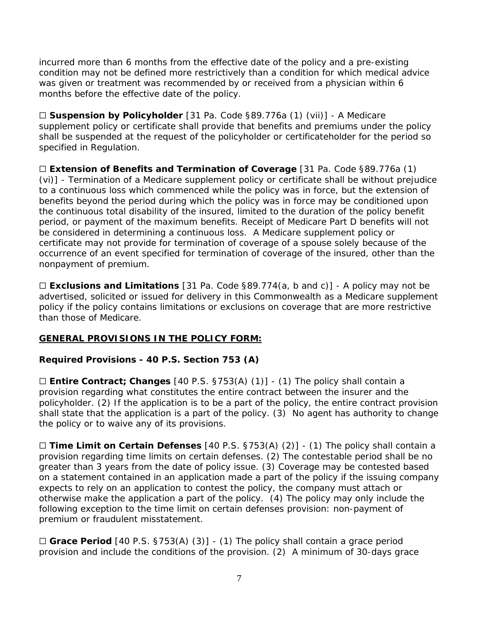incurred more than 6 months from the effective date of the policy and a pre-existing condition may not be defined more restrictively than a condition for which medical advice was given or treatment was recommended by or received from a physician within 6 months before the effective date of the policy.

☐ **Suspension by Policyholder** [31 Pa. Code §89.776a (1) (vii)] - A Medicare supplement policy or certificate shall provide that benefits and premiums under the policy shall be suspended at the request of the policyholder or certificateholder for the period so specified in Regulation.

☐ **Extension of Benefits and Termination of Coverage** [31 Pa. Code §89.776a (1) (vi)] - Termination of a Medicare supplement policy or certificate shall be without prejudice to a continuous loss which commenced while the policy was in force, but the extension of benefits beyond the period during which the policy was in force may be conditioned upon the continuous total disability of the insured, limited to the duration of the policy benefit period, or payment of the maximum benefits. Receipt of Medicare Part D benefits will not be considered in determining a continuous loss. A Medicare supplement policy or certificate may not provide for termination of coverage of a spouse solely because of the occurrence of an event specified for termination of coverage of the insured, other than the nonpayment of premium.

☐ **Exclusions and Limitations** [31 Pa. Code §89.774(a, b and c)] - A policy may not be advertised, solicited or issued for delivery in this Commonwealth as a Medicare supplement policy if the policy contains limitations or exclusions on coverage that are more restrictive than those of Medicare.

# **GENERAL PROVISIONS IN THE POLICY FORM:**

#### **Required Provisions - 40 P.S. Section 753 (A)**

☐ **Entire Contract; Changes** [40 P.S. §753(A) (1)] - (1) The policy shall contain a provision regarding what constitutes the entire contract between the insurer and the policyholder. (2) If the application is to be a part of the policy, the entire contract provision shall state that the application is a part of the policy. (3) No agent has authority to change the policy or to waive any of its provisions.

☐ **Time Limit on Certain Defenses** [40 P.S. §753(A) (2)] - (1) The policy shall contain a provision regarding time limits on certain defenses. (2) The contestable period shall be no greater than 3 years from the date of policy issue. (3) Coverage may be contested based on a statement contained in an application made a part of the policy if the issuing company expects to rely on an application to contest the policy, the company must attach or otherwise make the application a part of the policy. (4) The policy may only include the following exception to the time limit on certain defenses provision: non-payment of premium or fraudulent misstatement.

☐ **Grace Period** [40 P.S. §753(A) (3)] - (1) The policy shall contain a grace period provision and include the conditions of the provision. (2) A minimum of 30-days grace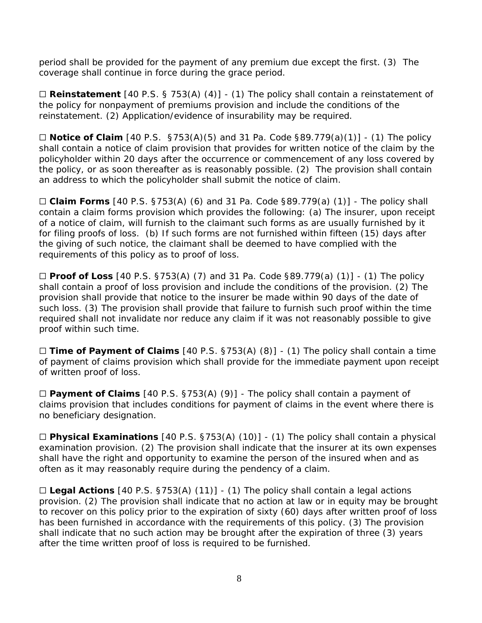period shall be provided for the payment of any premium due except the first. (3) The coverage shall continue in force during the grace period.

☐ **Reinstatement** [40 P.S. § 753(A) (4)] - (1) The policy shall contain a reinstatement of the policy for nonpayment of premiums provision and include the conditions of the reinstatement. (2) Application/evidence of insurability may be required.

☐ **Notice of Claim** [40 P.S. §753(A)(5) and 31 Pa. Code §89.779(a)(1)] - (1) The policy shall contain a notice of claim provision that provides for written notice of the claim by the policyholder within 20 days after the occurrence or commencement of any loss covered by the policy, or as soon thereafter as is reasonably possible. (2) The provision shall contain an address to which the policyholder shall submit the notice of claim.

☐ **Claim Forms** [40 P.S. §753(A) (6) and 31 Pa. Code §89.779(a) (1)] - The policy shall contain a claim forms provision which provides the following: (a) The insurer, upon receipt of a notice of claim, will furnish to the claimant such forms as are usually furnished by it for filing proofs of loss. (b) If such forms are not furnished within fifteen (15) days after the giving of such notice, the claimant shall be deemed to have complied with the requirements of this policy as to proof of loss.

☐ **Proof of Loss** [40 P.S. §753(A) (7) and 31 Pa. Code §89.779(a) (1)] - (1) The policy shall contain a proof of loss provision and include the conditions of the provision. (2) The provision shall provide that notice to the insurer be made within 90 days of the date of such loss. (3) The provision shall provide that failure to furnish such proof within the time required shall not invalidate nor reduce any claim if it was not reasonably possible to give proof within such time.

☐ **Time of Payment of Claims** [40 P.S. §753(A) (8)] - (1) The policy shall contain a time of payment of claims provision which shall provide for the immediate payment upon receipt of written proof of loss.

☐ **Payment of Claims** [40 P.S. §753(A) (9)] - The policy shall contain a payment of claims provision that includes conditions for payment of claims in the event where there is no beneficiary designation.

☐ **Physical Examinations** [40 P.S. §753(A) (10)] - (1) The policy shall contain a physical examination provision. (2) The provision shall indicate that the insurer at its own expenses shall have the right and opportunity to examine the person of the insured when and as often as it may reasonably require during the pendency of a claim.

☐ **Legal Actions** [40 P.S. §753(A) (11)] - (1) The policy shall contain a legal actions provision. (2) The provision shall indicate that no action at law or in equity may be brought to recover on this policy prior to the expiration of sixty (60) days after written proof of loss has been furnished in accordance with the requirements of this policy. (3) The provision shall indicate that no such action may be brought after the expiration of three (3) years after the time written proof of loss is required to be furnished.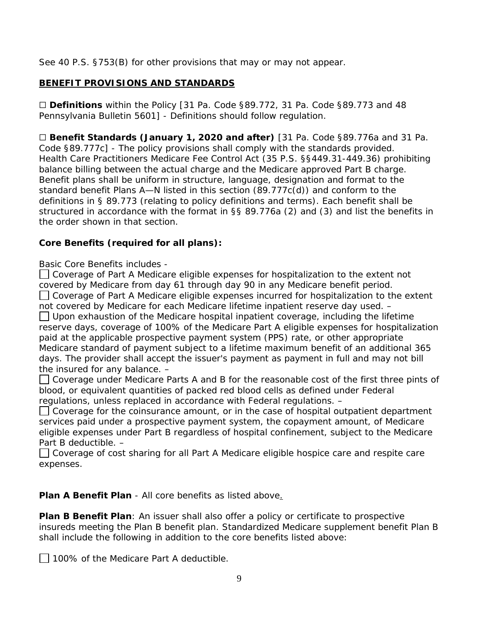See 40 P.S. §753(B) for other provisions that may or may not appear.

## **BENEFIT PROVISIONS AND STANDARDS**

☐ **Definitions** within the Policy [31 Pa. Code §89.772, 31 Pa. Code §89.773 and 48 Pennsylvania Bulletin 5601] - Definitions should follow regulation.

☐ **Benefit Standards (January 1, 2020 and after)** [31 Pa. Code §89.776a and 31 Pa. Code §89.777c] - The policy provisions shall comply with the standards provided. Health Care Practitioners Medicare Fee Control Act (35 P.S. §§449.31-449.36) prohibiting balance billing between the actual charge and the Medicare approved Part B charge. Benefit plans shall be uniform in structure, language, designation and format to the standard benefit Plans A—N listed in this section (89.777c(d)) and conform to the definitions in § 89.773 (relating to policy definitions and terms). Each benefit shall be structured in accordance with the format in §§ 89.776a (2) and (3) and list the benefits in the order shown in that section.

#### **Core Benefits (required for all plans):**

Basic Core Benefits includes -

□ Coverage of Part A Medicare eligible expenses for hospitalization to the extent not covered by Medicare from day 61 through day 90 in any Medicare benefit period.  $\Box$  Coverage of Part A Medicare eligible expenses incurred for hospitalization to the extent not covered by Medicare for each Medicare lifetime inpatient reserve day used. –  $\Box$  Upon exhaustion of the Medicare hospital inpatient coverage, including the lifetime reserve days, coverage of 100% of the Medicare Part A eligible expenses for hospitalization paid at the applicable prospective payment system (PPS) rate, or other appropriate Medicare standard of payment subject to a lifetime maximum benefit of an additional 365 days. The provider shall accept the issuer's payment as payment in full and may not bill the insured for any balance. –

 $\Box$  Coverage under Medicare Parts A and B for the reasonable cost of the first three pints of blood, or equivalent quantities of packed red blood cells as defined under Federal regulations, unless replaced in accordance with Federal regulations. –

 $\Box$  Coverage for the coinsurance amount, or in the case of hospital outpatient department services paid under a prospective payment system, the copayment amount, of Medicare eligible expenses under Part B regardless of hospital confinement, subject to the Medicare Part B deductible. –

**□ Coverage of cost sharing for all Part A Medicare eligible hospice care and respite care** expenses.

**Plan A Benefit Plan** - All core benefits as listed above.

**Plan B Benefit Plan**: An issuer shall also offer a policy or certificate to prospective insureds meeting the Plan B benefit plan. Standardized Medicare supplement benefit Plan B shall include the following in addition to the core benefits listed above:

□ 100% of the Medicare Part A deductible.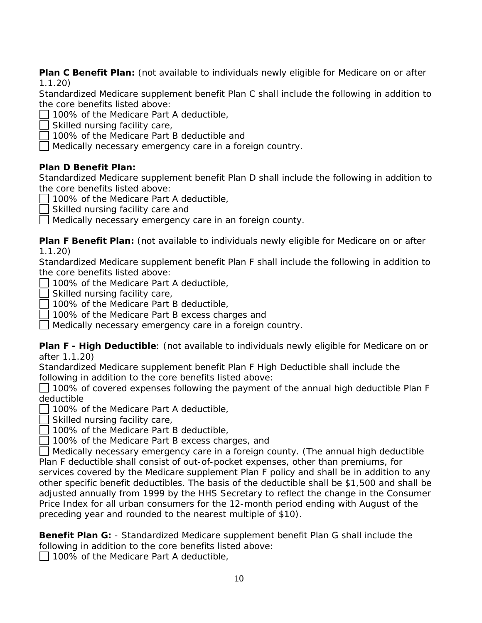**Plan C Benefit Plan:** (not available to individuals newly eligible for Medicare on or after 1.1.20)

Standardized Medicare supplement benefit Plan C shall include the following in addition to the core benefits listed above:

- 100% of the Medicare Part A deductible,
- Skilled nursing facility care,
- 100% of the Medicare Part B deductible and
- Medically necessary emergency care in a foreign country.

# **Plan D Benefit Plan:**

Standardized Medicare supplement benefit Plan D shall include the following in addition to the core benefits listed above:

- 100% of the Medicare Part A deductible,
- Skilled nursing facility care and

Medically necessary emergency care in an foreign county.

**Plan F Benefit Plan:** (not available to individuals newly eligible for Medicare on or after 1.1.20)

Standardized Medicare supplement benefit Plan F shall include the following in addition to the core benefits listed above:

- 100% of the Medicare Part A deductible,
- $\Box$  Skilled nursing facility care,
- 100% of the Medicare Part B deductible,
- 100% of the Medicare Part B excess charges and

Medically necessary emergency care in a foreign country.

**Plan F - High Deductible**: (not available to individuals newly eligible for Medicare on or after 1.1.20)

Standardized Medicare supplement benefit Plan F High Deductible shall include the following in addition to the core benefits listed above:

 $\Box$  100% of covered expenses following the payment of the annual high deductible Plan F deductible

- 100% of the Medicare Part A deductible,
- $\Box$  Skilled nursing facility care,
- 100% of the Medicare Part B deductible,
- 100% of the Medicare Part B excess charges, and

Medically necessary emergency care in a foreign county. (The annual high deductible Plan F deductible shall consist of out-of-pocket expenses, other than premiums, for services covered by the Medicare supplement Plan F policy and shall be in addition to any other specific benefit deductibles. The basis of the deductible shall be \$1,500 and shall be adjusted annually from 1999 by the HHS Secretary to reflect the change in the Consumer Price Index for all urban consumers for the 12-month period ending with August of the preceding year and rounded to the nearest multiple of \$10).

**Benefit Plan G:** - Standardized Medicare supplement benefit Plan G shall include the following in addition to the core benefits listed above:

 $\Box$  100% of the Medicare Part A deductible,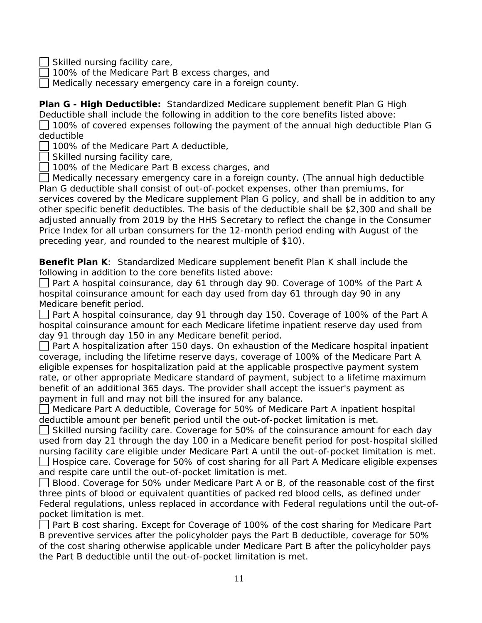Skilled nursing facility care,

100% of the Medicare Part B excess charges, and

Medically necessary emergency care in a foreign county.

**Plan G - High Deductible:** Standardized Medicare supplement benefit Plan G High Deductible shall include the following in addition to the core benefits listed above:  $\Box$  100% of covered expenses following the payment of the annual high deductible Plan G deductible

100% of the Medicare Part A deductible,

 $\Box$  Skilled nursing facility care,

 $\Box$  100% of the Medicare Part B excess charges, and

Medically necessary emergency care in a foreign county. (The annual high deductible Plan G deductible shall consist of out-of-pocket expenses, other than premiums, for services covered by the Medicare supplement Plan G policy, and shall be in addition to any other specific benefit deductibles. The basis of the deductible shall be \$2,300 and shall be adjusted annually from 2019 by the HHS Secretary to reflect the change in the Consumer Price Index for all urban consumers for the 12-month period ending with August of the preceding year, and rounded to the nearest multiple of \$10).

**Benefit Plan K**: Standardized Medicare supplement benefit Plan K shall include the following in addition to the core benefits listed above:

*Part A hospital coinsurance, day 61 through day 90*. Coverage of 100% of the Part A hospital coinsurance amount for each day used from day 61 through day 90 in any Medicare benefit period.

*Part A hospital coinsurance, day 91 through day 150*. Coverage of 100% of the Part A hospital coinsurance amount for each Medicare lifetime inpatient reserve day used from day 91 through day 150 in any Medicare benefit period.

*Part A hospitalization after 150 days*. On exhaustion of the Medicare hospital inpatient coverage, including the lifetime reserve days, coverage of 100% of the Medicare Part A eligible expenses for hospitalization paid at the applicable prospective payment system rate, or other appropriate Medicare standard of payment, subject to a lifetime maximum benefit of an additional 365 days. The provider shall accept the issuer's payment as payment in full and may not bill the insured for any balance.

*Medicare Part A deductible,* Coverage for 50% of Medicare Part A inpatient hospital deductible amount per benefit period until the out-of-pocket limitation is met.

*Skilled nursing facility care*. Coverage for 50% of the coinsurance amount for each day used from day 21 through the day 100 in a Medicare benefit period for post-hospital skilled nursing facility care eligible under Medicare Part A until the out-of-pocket limitation is met. *Hospice care*. Coverage for 50% of cost sharing for all Part A Medicare eligible expenses and respite care until the out-of-pocket limitation is met.

*Blood*. Coverage for 50% under Medicare Part A or B, of the reasonable cost of the first three pints of blood or equivalent quantities of packed red blood cells, as defined under Federal regulations, unless replaced in accordance with Federal regulations until the out-ofpocket limitation is met.

*Part B cost sharing*. Except for Coverage of 100% of the cost sharing for Medicare Part B preventive services after the policyholder pays the Part B deductible, coverage for 50% of the cost sharing otherwise applicable under Medicare Part B after the policyholder pays the Part B deductible until the out-of-pocket limitation is met.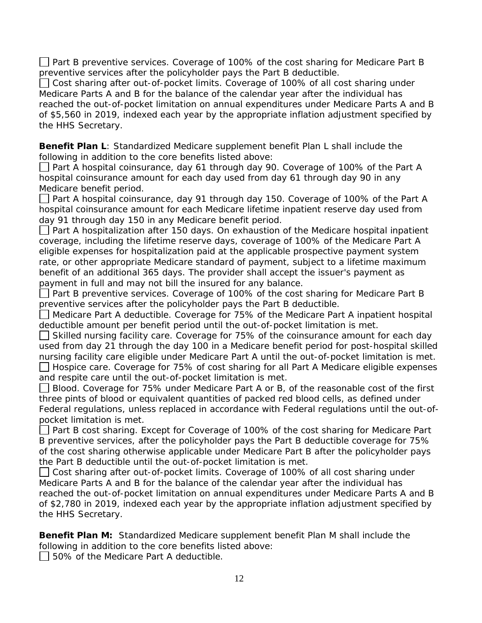*Part B preventive services*. Coverage of 100% of the cost sharing for Medicare Part B preventive services after the policyholder pays the Part B deductible.

*Cost sharing after out-of-pocket limits*. Coverage of 100% of all cost sharing under Medicare Parts A and B for the balance of the calendar year after the individual has reached the out-of-pocket limitation on annual expenditures under Medicare Parts A and B of \$5,560 in 2019, indexed each year by the appropriate inflation adjustment specified by the HHS Secretary.

**Benefit Plan L**: Standardized Medicare supplement benefit Plan L shall include the following in addition to the core benefits listed above:

*Part A hospital coinsurance, day 61 through day 90*. Coverage of 100% of the Part A hospital coinsurance amount for each day used from day 61 through day 90 in any Medicare benefit period.

*Part A hospital coinsurance, day 91 through day 150*. Coverage of 100% of the Part A hospital coinsurance amount for each Medicare lifetime inpatient reserve day used from day 91 through day 150 in any Medicare benefit period.

*Part A hospitalization after 150 days*. On exhaustion of the Medicare hospital inpatient coverage, including the lifetime reserve days, coverage of 100% of the Medicare Part A eligible expenses for hospitalization paid at the applicable prospective payment system rate, or other appropriate Medicare standard of payment, subject to a lifetime maximum benefit of an additional 365 days. The provider shall accept the issuer's payment as payment in full and may not bill the insured for any balance.

*Part B preventive services*. Coverage of 100% of the cost sharing for Medicare Part B preventive services after the policyholder pays the Part B deductible.

*Medicare Part A deductible*. Coverage for 75% of the Medicare Part A inpatient hospital deductible amount per benefit period until the out-of-pocket limitation is met.

*Skilled nursing facility care*. Coverage for 75% of the coinsurance amount for each day used from day 21 through the day 100 in a Medicare benefit period for post-hospital skilled nursing facility care eligible under Medicare Part A until the out-of-pocket limitation is met.

*Hospice care*. Coverage for 75% of cost sharing for all Part A Medicare eligible expenses and respite care until the out-of-pocket limitation is met.

*Blood*. Coverage for 75% under Medicare Part A or B, of the reasonable cost of the first three pints of blood or equivalent quantities of packed red blood cells, as defined under Federal regulations, unless replaced in accordance with Federal regulations until the out-ofpocket limitation is met.

*Part B cost sharing*. Except for Coverage of 100% of the cost sharing for Medicare Part B preventive services, after the policyholder pays the Part B deductible coverage for 75% of the cost sharing otherwise applicable under Medicare Part B after the policyholder pays the Part B deductible until the out-of-pocket limitation is met.

*Cost sharing after out-of-pocket limits*. Coverage of 100% of all cost sharing under Medicare Parts A and B for the balance of the calendar year after the individual has reached the out-of-pocket limitation on annual expenditures under Medicare Parts A and B of \$2,780 in 2019, indexed each year by the appropriate inflation adjustment specified by the HHS Secretary.

**Benefit Plan M:** Standardized Medicare supplement benefit Plan M shall include the following in addition to the core benefits listed above:

 $\Box$  50% of the Medicare Part A deductible.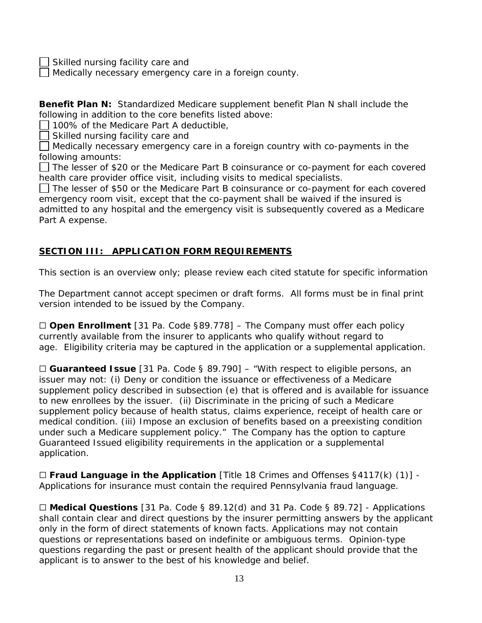Skilled nursing facility care and

Medically necessary emergency care in a foreign county.

**Benefit Plan N:** Standardized Medicare supplement benefit Plan N shall include the following in addition to the core benefits listed above:

100% of the Medicare Part A deductible,

Skilled nursing facility care and

Medically necessary emergency care in a foreign country with co-payments in the following amounts:

 $\Box$  The lesser of \$20 or the Medicare Part B coinsurance or co-payment for each covered health care provider office visit, including visits to medical specialists.

 $\Box$  The lesser of \$50 or the Medicare Part B coinsurance or co-payment for each covered emergency room visit, except that the co-payment shall be waived if the insured is admitted to any hospital and the emergency visit is subsequently covered as a Medicare Part A expense.

#### **SECTION III: APPLICATION FORM REQUIREMENTS**

This section is an overview only; please review each cited statute for specific information

The Department cannot accept specimen or draft forms. All forms must be in final print version intended to be issued by the Company.

☐ **Open Enrollment** [31 Pa. Code §89.778] – The Company must offer each policy currently available from the insurer to applicants who qualify without regard to age. Eligibility criteria may be captured in the application or a supplemental application.

☐ **Guaranteed Issue** [31 Pa. Code § 89.790] – "With respect to eligible persons, an issuer may not: (i) Deny or condition the issuance or effectiveness of a Medicare supplement policy described in subsection (e) that is offered and is available for issuance to new enrollees by the issuer. (ii) Discriminate in the pricing of such a Medicare supplement policy because of health status, claims experience, receipt of health care or medical condition. (iii) Impose an exclusion of benefits based on a preexisting condition under such a Medicare supplement policy." The Company has the option to capture Guaranteed Issued eligibility requirements in the application or a supplemental application.

☐ **Fraud Language in the Application** [Title 18 Crimes and Offenses §4117(k) (1)] - Applications for insurance must contain the required Pennsylvania fraud language.

☐ **Medical Questions** [31 Pa. Code § 89.12(d) and 31 Pa. Code § 89.72] - Applications shall contain clear and direct questions by the insurer permitting answers by the applicant only in the form of direct statements of known facts. Applications may not contain questions or representations based on indefinite or ambiguous terms. Opinion-type questions regarding the past or present health of the applicant should provide that the applicant is to answer to the best of his knowledge and belief.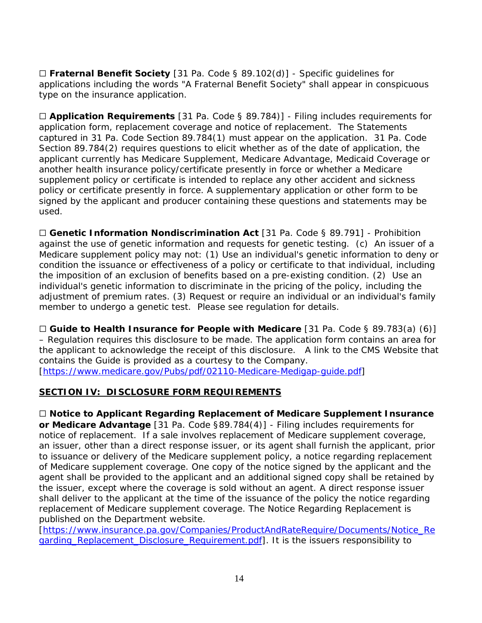☐ **Fraternal Benefit Society** [31 Pa. Code § 89.102(d)] - Specific guidelines for applications including the words "A Fraternal Benefit Society" shall appear in conspicuous type on the insurance application.

☐ **Application Requirements** [31 Pa. Code § 89.784)] - Filing includes requirements for application form, replacement coverage and notice of replacement. The Statements captured in 31 Pa. Code Section 89.784(1) must appear on the application. 31 Pa. Code Section 89.784(2) requires questions to elicit whether as of the date of application, the applicant currently has Medicare Supplement, Medicare Advantage, Medicaid Coverage or another health insurance policy/certificate presently in force or whether a Medicare supplement policy or certificate is intended to replace any other accident and sickness policy or certificate presently in force. A supplementary application or other form to be signed by the applicant and producer containing these questions and statements may be used.

☐ **Genetic Information Nondiscrimination Act** [31 Pa. Code § 89.791] - Prohibition against the use of genetic information and requests for genetic testing. (c) An issuer of a Medicare supplement policy may not: (1) Use an individual's genetic information to deny or condition the issuance or effectiveness of a policy or certificate to that individual, including the imposition of an exclusion of benefits based on a pre-existing condition. (2) Use an individual's genetic information to discriminate in the pricing of the policy, including the adjustment of premium rates. (3) Request or require an individual or an individual's family member to undergo a genetic test. Please see regulation for details.

☐ **Guide to Health Insurance for People with Medicare** [31 Pa. Code § 89.783(a) (6)] – Regulation requires this disclosure to be made. The application form contains an area for the applicant to acknowledge the receipt of this disclosure. A link to the CMS Website that contains the Guide is provided as a courtesy to the Company. [\[https://www.medicare.gov/Pubs/pdf/02110-Medicare-Medigap-guide.pdf\]](https://www.medicare.gov/Pubs/pdf/02110-Medicare-Medigap-guide.pdf)

#### **SECTION IV: DISCLOSURE FORM REQUIREMENTS**

☐ **Notice to Applicant Regarding Replacement of Medicare Supplement Insurance or Medicare Advantage** [31 Pa. Code §89.784(4)] - Filing includes requirements for notice of replacement. If a sale involves replacement of Medicare supplement coverage, an issuer, other than a direct response issuer, or its agent shall furnish the applicant, prior to issuance or delivery of the Medicare supplement policy, a notice regarding replacement of Medicare supplement coverage. One copy of the notice signed by the applicant and the agent shall be provided to the applicant and an additional signed copy shall be retained by the issuer, except where the coverage is sold without an agent. A direct response issuer shall deliver to the applicant at the time of the issuance of the policy the notice regarding replacement of Medicare supplement coverage. The Notice Regarding Replacement is published on the Department website.

[\[https://www.insurance.pa.gov/Companies/ProductAndRateRequire/Documents/Notice\\_Re](https://www.insurance.pa.gov/Companies/ProductAndRateRequire/Documents/Notice_Regarding_Replacement_Disclosure_Requirement.pdf) garding Replacement Disclosure Requirement.pdf]. It is the issuers responsibility to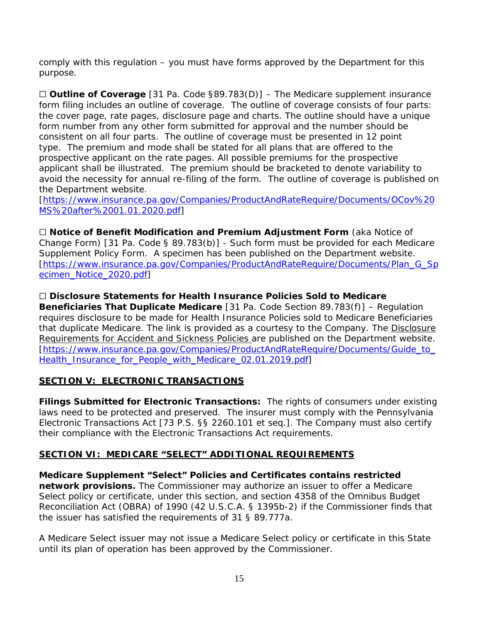comply with this regulation – you must have forms approved by the Department for this purpose.

☐ **Outline of Coverage** [31 Pa. Code §89.783(D)] – The Medicare supplement insurance form filing includes an outline of coverage. The outline of coverage consists of four parts: the cover page, rate pages, disclosure page and charts. The outline should have a unique form number from any other form submitted for approval and the number should be consistent on all four parts. The outline of coverage must be presented in 12 point type. The premium and mode shall be stated for all plans that are offered to the prospective applicant on the rate pages. All possible premiums for the prospective applicant shall be illustrated. The premium should be bracketed to denote variability to avoid the necessity for annual re-filing of the form. The outline of coverage is published on the Department website.

[\[https://www.insurance.pa.gov/Companies/ProductAndRateRequire/Documents/OCov%20](https://www.insurance.pa.gov/Companies/ProductAndRateRequire/Documents/OCov%20MS%20after%2001.01.2020.pdf) [MS%20after%2001.01.2020.pdf\]](https://www.insurance.pa.gov/Companies/ProductAndRateRequire/Documents/OCov%20MS%20after%2001.01.2020.pdf)

☐ **Notice of Benefit Modification and Premium Adjustment Form** (aka Notice of Change Form) [31 Pa. Code § 89.783(b)] - Such form must be provided for each Medicare Supplement Policy Form. A specimen has been published on the Department website. [\[https://www.insurance.pa.gov/Companies/ProductAndRateRequire/Documents/Plan\\_G\\_Sp](https://www.insurance.pa.gov/Companies/ProductAndRateRequire/Documents/Plan_G_Specimen_Notice_2020.pdf) [ecimen\\_Notice\\_2020.pdf\]](https://www.insurance.pa.gov/Companies/ProductAndRateRequire/Documents/Plan_G_Specimen_Notice_2020.pdf)

☐ **Disclosure Statements for Health Insurance Policies Sold to Medicare Beneficiaries That Duplicate Medicare** [31 Pa. Code Section 89.783(f)] – Regulation requires disclosure to be made for Health Insurance Policies sold to Medicare Beneficiaries that duplicate Medicare. The link is provided as a courtesy to the Company. The Disclosure [Requirements for Accident and Sickness Policies a](http://www.ins.state.pa.us/ins/lib/ins/rates/Guide_to_Health_Insurance_for_People_with_Medicare_08.05.2009.pdf)re published on the Department website. [\[https://www.insurance.pa.gov/Companies/ProductAndRateRequire/Documents/Guide\\_to\\_](https://www.insurance.pa.gov/Companies/ProductAndRateRequire/Documents/Guide_to_Health_Insurance_for_People_with_Medicare_02.01.2019.pdf) [Health\\_Insurance\\_for\\_People\\_with\\_Medicare\\_02.01.2019.pdf\]](https://www.insurance.pa.gov/Companies/ProductAndRateRequire/Documents/Guide_to_Health_Insurance_for_People_with_Medicare_02.01.2019.pdf)

#### **SECTION V: ELECTRONIC TRANSACTIONS**

**Filings Submitted for Electronic Transactions:** The rights of consumers under existing laws need to be protected and preserved. The insurer must comply with the Pennsylvania Electronic Transactions Act [73 P.S. §§ 2260.101 et seq.]. The Company must also certify their compliance with the Electronic Transactions Act requirements.

#### **SECTION VI: MEDICARE "SELECT" ADDITIONAL REQUIREMENTS**

**Medicare Supplement "Select" Policies and Certificates contains restricted network provisions.** The Commissioner may authorize an issuer to offer a Medicare Select policy or certificate, under this section, and section 4358 of the Omnibus Budget Reconciliation Act (OBRA) of 1990 (42 U.S.C.A. § 1395b-2) if the Commissioner finds that the issuer has satisfied the requirements of 31 § 89.777a.

A Medicare Select issuer may not issue a Medicare Select policy or certificate in this State until its plan of operation has been approved by the Commissioner.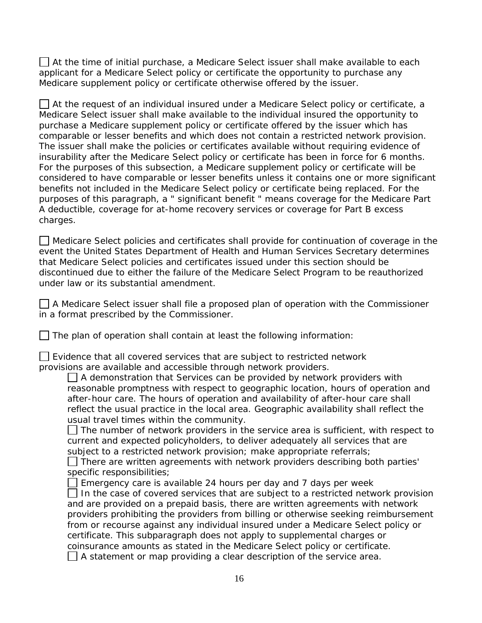$\Box$  At the time of initial purchase, a Medicare Select issuer shall make available to each applicant for a Medicare Select policy or certificate the opportunity to purchase any Medicare supplement policy or certificate otherwise offered by the issuer.

At the request of an individual insured under a Medicare Select policy or certificate, a Medicare Select issuer shall make available to the individual insured the opportunity to purchase a Medicare supplement policy or certificate offered by the issuer which has comparable or lesser benefits and which does not contain a restricted network provision. The issuer shall make the policies or certificates available without requiring evidence of insurability after the Medicare Select policy or certificate has been in force for 6 months. For the purposes of this subsection, a Medicare supplement policy or certificate will be considered to have comparable or lesser benefits unless it contains one or more significant benefits not included in the Medicare Select policy or certificate being replaced. For the purposes of this paragraph, a " significant benefit " means coverage for the Medicare Part A deductible, coverage for at-home recovery services or coverage for Part B excess charges.

Medicare Select policies and certificates shall provide for continuation of coverage in the event the United States Department of Health and Human Services Secretary determines that Medicare Select policies and certificates issued under this section should be discontinued due to either the failure of the Medicare Select Program to be reauthorized under law or its substantial amendment.

 $\Box$  A Medicare Select issuer shall file a proposed plan of operation with the Commissioner in a format prescribed by the Commissioner.

 $\Box$  The plan of operation shall contain at least the following information:

 $\Box$  Evidence that all covered services that are subject to restricted network provisions are available and accessible through network providers.

 $\Box$  A demonstration that Services can be provided by network providers with reasonable promptness with respect to geographic location, hours of operation and after-hour care. The hours of operation and availability of after-hour care shall reflect the usual practice in the local area. Geographic availability shall reflect the usual travel times within the community.

 $\Box$  The number of network providers in the service area is sufficient, with respect to current and expected policyholders, to deliver adequately all services that are subject to a restricted network provision; make appropriate referrals;

 $\Box$  There are written agreements with network providers describing both parties' specific responsibilities;

Emergency care is available 24 hours per day and 7 days per week  $\Box$  In the case of covered services that are subject to a restricted network provision and are provided on a prepaid basis, there are written agreements with network providers prohibiting the providers from billing or otherwise seeking reimbursement from or recourse against any individual insured under a Medicare Select policy or certificate. This subparagraph does not apply to supplemental charges or coinsurance amounts as stated in the Medicare Select policy or certificate.  $\Box$  A statement or map providing a clear description of the service area.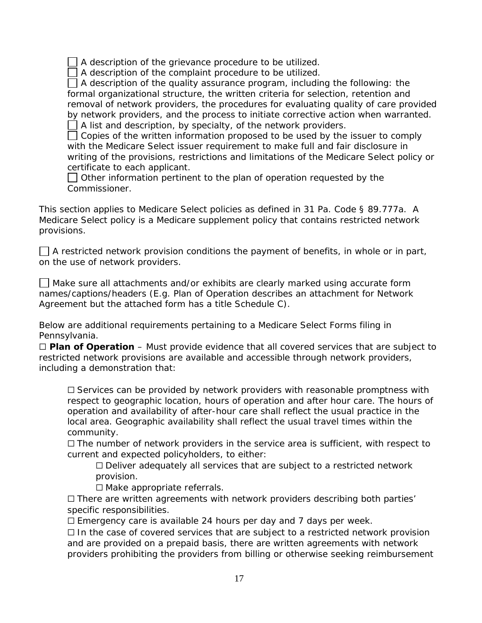A description of the grievance procedure to be utilized.

A description of the complaint procedure to be utilized.

 $\Box$  A description of the quality assurance program, including the following: the formal organizational structure, the written criteria for selection, retention and removal of network providers, the procedures for evaluating quality of care provided by network providers, and the process to initiate corrective action when warranted. A list and description, by specialty, of the network providers.

 $\Box$  Copies of the written information proposed to be used by the issuer to comply with the Medicare Select issuer requirement to make full and fair disclosure in writing of the provisions, restrictions and limitations of the Medicare Select policy or certificate to each applicant.

 $\Box$  Other information pertinent to the plan of operation requested by the Commissioner.

This section applies to Medicare Select policies as defined in 31 Pa. Code § 89.777a. A Medicare Select policy is a Medicare supplement policy that contains restricted network provisions.

 $\Box$  A restricted network provision conditions the payment of benefits, in whole or in part, on the use of network providers.

 $\Box$  Make sure all attachments and/or exhibits are clearly marked using accurate form names/captions/headers (E.g. Plan of Operation describes an attachment for Network Agreement but the attached form has a title Schedule C).

Below are additional requirements pertaining to a Medicare Select Forms filing in Pennsylvania.

☐ **Plan of Operation** – Must provide evidence that all covered services that are subject to restricted network provisions are available and accessible through network providers, including a demonstration that:

□ Services can be provided by network providers with reasonable promptness with respect to geographic location, hours of operation and after hour care. The hours of operation and availability of after-hour care shall reflect the usual practice in the local area. Geographic availability shall reflect the usual travel times within the community.

☐ The number of network providers in the service area is sufficient, with respect to current and expected policyholders, to either:

 $\Box$  Deliver adequately all services that are subject to a restricted network provision.

☐ Make appropriate referrals.

☐ There are written agreements with network providers describing both parties' specific responsibilities.

☐ Emergency care is available 24 hours per day and 7 days per week.

□ In the case of covered services that are subject to a restricted network provision and are provided on a prepaid basis, there are written agreements with network providers prohibiting the providers from billing or otherwise seeking reimbursement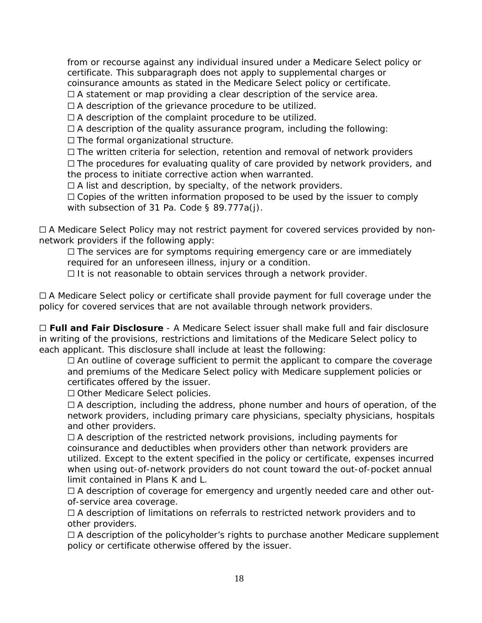from or recourse against any individual insured under a Medicare Select policy or certificate. This subparagraph does not apply to supplemental charges or coinsurance amounts as stated in the Medicare Select policy or certificate.

 $\Box$  A statement or map providing a clear description of the service area.

 $\Box$  A description of the grievance procedure to be utilized.

☐ A description of the complaint procedure to be utilized.

 $\Box$  A description of the quality assurance program, including the following:

☐ The formal organizational structure.

☐ The written criteria for selection, retention and removal of network providers ☐ The procedures for evaluating quality of care provided by network providers, and the process to initiate corrective action when warranted.

 $\Box$  A list and description, by specialty, of the network providers.

□ Copies of the written information proposed to be used by the issuer to comply with subsection of 31 Pa. Code § 89.777a(j).

□ A Medicare Select Policy may not restrict payment for covered services provided by nonnetwork providers if the following apply:

☐ The services are for symptoms requiring emergency care or are immediately required for an unforeseen illness, injury or a condition.

☐ It is not reasonable to obtain services through a network provider.

□ A Medicare Select policy or certificate shall provide payment for full coverage under the policy for covered services that are not available through network providers.

☐ **Full and Fair Disclosure** - A Medicare Select issuer shall make full and fair disclosure in writing of the provisions, restrictions and limitations of the Medicare Select policy to each applicant. This disclosure shall include at least the following:

 $\Box$  An outline of coverage sufficient to permit the applicant to compare the coverage and premiums of the Medicare Select policy with Medicare supplement policies or certificates offered by the issuer.

☐ Other Medicare Select policies.

☐ A description, including the address, phone number and hours of operation, of the network providers, including primary care physicians, specialty physicians, hospitals and other providers.

 $\Box$  A description of the restricted network provisions, including payments for coinsurance and deductibles when providers other than network providers are utilized. Except to the extent specified in the policy or certificate, expenses incurred when using out-of-network providers do not count toward the out-of-pocket annual limit contained in Plans K and L.

□ A description of coverage for emergency and urgently needed care and other outof-service area coverage.

☐ A description of limitations on referrals to restricted network providers and to other providers.

☐ A description of the policyholder's rights to purchase another Medicare supplement policy or certificate otherwise offered by the issuer.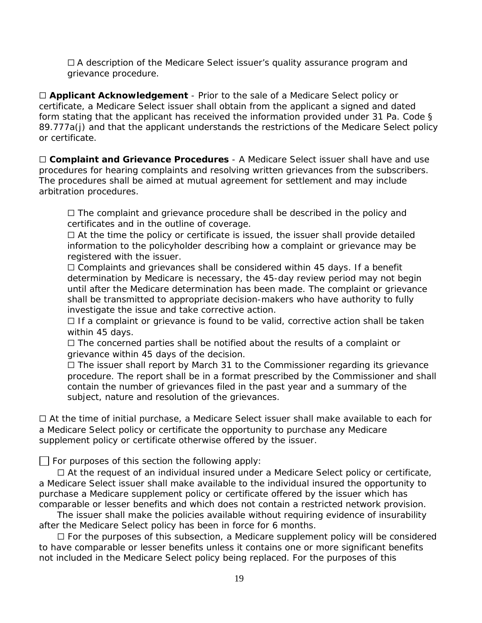☐ A description of the Medicare Select issuer's quality assurance program and grievance procedure.

☐ **Applicant Acknowledgement** - Prior to the sale of a Medicare Select policy or certificate, a Medicare Select issuer shall obtain from the applicant a signed and dated form stating that the applicant has received the information provided under 31 Pa. Code § 89.777a(j) and that the applicant understands the restrictions of the Medicare Select policy or certificate.

☐ **Complaint and Grievance Procedures** - A Medicare Select issuer shall have and use procedures for hearing complaints and resolving written grievances from the subscribers. The procedures shall be aimed at mutual agreement for settlement and may include arbitration procedures.

 $\Box$  The complaint and grievance procedure shall be described in the policy and certificates and in the outline of coverage.

 $\Box$  At the time the policy or certificate is issued, the issuer shall provide detailed information to the policyholder describing how a complaint or grievance may be registered with the issuer.

☐ Complaints and grievances shall be considered within 45 days. If a benefit determination by Medicare is necessary, the 45-day review period may not begin until after the Medicare determination has been made. The complaint or grievance shall be transmitted to appropriate decision-makers who have authority to fully investigate the issue and take corrective action.

□ If a complaint or grievance is found to be valid, corrective action shall be taken within 45 days.

☐ The concerned parties shall be notified about the results of a complaint or grievance within 45 days of the decision.

☐ The issuer shall report by March 31 to the Commissioner regarding its grievance procedure. The report shall be in a format prescribed by the Commissioner and shall contain the number of grievances filed in the past year and a summary of the subject, nature and resolution of the grievances.

☐ At the time of initial purchase, a Medicare Select issuer shall make available to each for a Medicare Select policy or certificate the opportunity to purchase any Medicare supplement policy or certificate otherwise offered by the issuer.

 $\Box$  For purposes of this section the following apply:

 ☐ At the request of an individual insured under a Medicare *Select* policy or certificate, a Medicare *Select* issuer shall make available to the individual insured the opportunity to purchase a Medicare supplement policy or certificate offered by the issuer which has comparable or lesser benefits and which does not contain a restricted network provision.

 The issuer shall make the policies available without requiring evidence of insurability after the Medicare Select policy has been in force for 6 months.

□ For the purposes of this subsection, a Medicare supplement policy will be considered to have comparable or lesser benefits unless it contains one or more significant benefits not included in the Medicare *Select* policy being replaced. For the purposes of this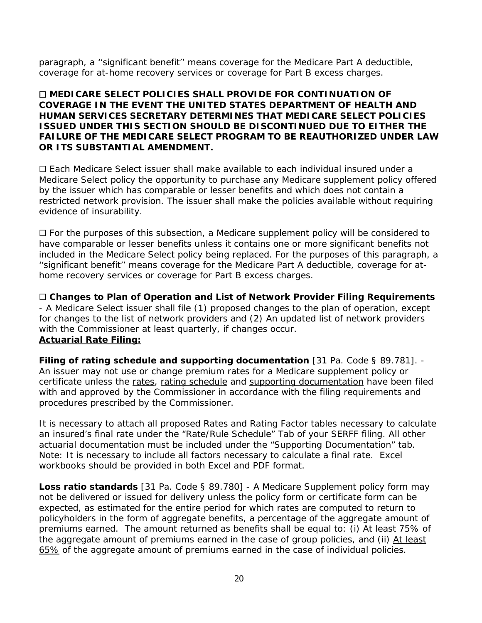paragraph, a ''significant benefit'' means coverage for the Medicare Part A deductible, coverage for at-home recovery services or coverage for Part B excess charges.

#### ☐ **MEDICARE** *SELECT* **POLICIES SHALL PROVIDE FOR CONTINUATION OF COVERAGE IN THE EVENT THE UNITED STATES DEPARTMENT OF HEALTH AND HUMAN SERVICES SECRETARY DETERMINES THAT MEDICARE** *SELECT* **POLICIES ISSUED UNDER THIS SECTION SHOULD BE DISCONTINUED DUE TO EITHER THE FAILURE OF THE MEDICARE SELECT PROGRAM TO BE REAUTHORIZED UNDER LAW OR ITS SUBSTANTIAL AMENDMENT.**

☐ Each Medicare Select issuer shall make available to each individual insured under a Medicare *Select* policy the opportunity to purchase any Medicare supplement policy offered by the issuer which has comparable or lesser benefits and which does not contain a restricted network provision. The issuer shall make the policies available without requiring evidence of insurability.

☐ For the purposes of this subsection, a Medicare supplement policy will be considered to have comparable or lesser benefits unless it contains one or more significant benefits not included in the Medicare *Select* policy being replaced. For the purposes of this paragraph, a ''significant benefit'' means coverage for the Medicare Part A deductible, coverage for athome recovery services or coverage for Part B excess charges.

☐ **Changes to Plan of Operation and List of Network Provider Filing Requirements** - A Medicare *Select* issuer shall file (1) proposed changes to the plan of operation, except for changes to the list of network providers and (2) An updated list of network providers with the Commissioner at least quarterly, if changes occur. **Actuarial Rate Filing:**

**Filing of rating schedule and supporting documentation** [31 Pa. Code § 89.781]. - An issuer may not use or change premium rates for a Medicare supplement policy or certificate unless the rates, rating schedule and supporting documentation have been filed with and approved by the Commissioner in accordance with the filing requirements and procedures prescribed by the Commissioner.

It is necessary to attach all proposed Rates and Rating Factor tables necessary to calculate an insured's final rate under the "Rate/Rule Schedule" Tab of your SERFF filing. All other actuarial documentation must be included under the "Supporting Documentation" tab. Note: It is necessary to include all factors necessary to calculate a final rate. Excel workbooks should be provided in both Excel and PDF format.

**Loss ratio standards** [31 Pa. Code § 89.780] - A Medicare Supplement policy form may not be delivered or issued for delivery unless the policy form or certificate form can be expected, as estimated for the entire period for which rates are computed to return to policyholders in the form of aggregate benefits, a percentage of the aggregate amount of premiums earned. The amount returned as benefits shall be equal to: (i) At least 75% of the aggregate amount of premiums earned in the case of group policies, and (ii) At least 65% of the aggregate amount of premiums earned in the case of individual policies.